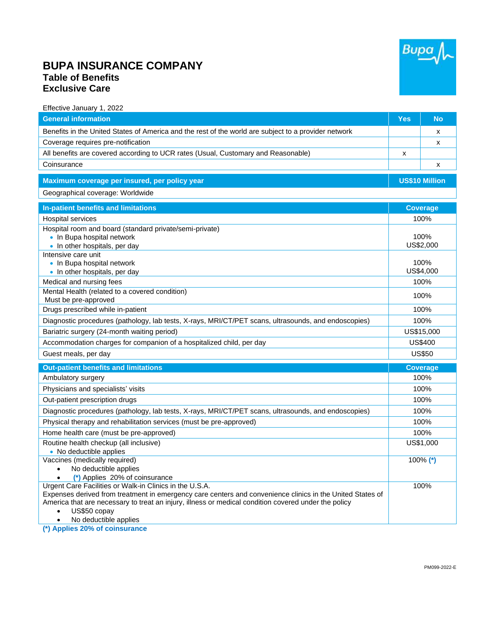

## **BUPA INSURANCE COMPANY Table of Benefits Exclusive Care**

Effective January 1, 2022

| <b>General information</b>                                                                                                        | <b>Yes</b>            | <b>No</b>       |
|-----------------------------------------------------------------------------------------------------------------------------------|-----------------------|-----------------|
| Benefits in the United States of America and the rest of the world are subject to a provider network                              |                       | X               |
| Coverage requires pre-notification                                                                                                |                       | X               |
| All benefits are covered according to UCR rates (Usual, Customary and Reasonable)                                                 | X                     |                 |
| Coinsurance                                                                                                                       |                       | X               |
| Maximum coverage per insured, per policy year                                                                                     | <b>US\$10 Million</b> |                 |
| Geographical coverage: Worldwide                                                                                                  |                       |                 |
| In-patient benefits and limitations                                                                                               |                       | <b>Coverage</b> |
| <b>Hospital services</b>                                                                                                          |                       | 100%            |
| Hospital room and board (standard private/semi-private)                                                                           |                       |                 |
| • In Bupa hospital network                                                                                                        |                       | 100%            |
| • In other hospitals, per day                                                                                                     |                       | US\$2,000       |
| Intensive care unit                                                                                                               |                       |                 |
| • In Bupa hospital network                                                                                                        |                       | 100%            |
| • In other hospitals, per day                                                                                                     |                       | US\$4,000       |
| Medical and nursing fees                                                                                                          |                       | 100%            |
| Mental Health (related to a covered condition)                                                                                    |                       | 100%            |
| Must be pre-approved                                                                                                              |                       |                 |
| Drugs prescribed while in-patient                                                                                                 |                       | 100%            |
| Diagnostic procedures (pathology, lab tests, X-rays, MRI/CT/PET scans, ultrasounds, and endoscopies)                              |                       | 100%            |
| Bariatric surgery (24-month waiting period)                                                                                       |                       | US\$15,000      |
| Accommodation charges for companion of a hospitalized child, per day                                                              |                       | <b>US\$400</b>  |
| Guest meals, per day                                                                                                              |                       | <b>US\$50</b>   |
| <b>Out-patient benefits and limitations</b>                                                                                       |                       | <b>Coverage</b> |
| Ambulatory surgery                                                                                                                |                       | 100%            |
| Physicians and specialists' visits                                                                                                |                       | 100%            |
| Out-patient prescription drugs                                                                                                    |                       | 100%            |
| Diagnostic procedures (pathology, lab tests, X-rays, MRI/CT/PET scans, ultrasounds, and endoscopies)                              |                       | 100%            |
| Physical therapy and rehabilitation services (must be pre-approved)                                                               |                       | 100%            |
| Home health care (must be pre-approved)                                                                                           |                       | 100%            |
| Routine health checkup (all inclusive)                                                                                            |                       | US\$1,000       |
| • No deductible applies                                                                                                           |                       |                 |
| Vaccines (medically required)                                                                                                     |                       | $100\%$ (*)     |
| No deductible applies<br>$\bullet$                                                                                                |                       |                 |
| (*) Applies 20% of coinsurance<br>$\bullet$                                                                                       |                       |                 |
| Urgent Care Facilities or Walk-in Clinics in the U.S.A.                                                                           |                       | 100%            |
| Expenses derived from treatment in emergency care centers and convenience clinics in the United States of                         |                       |                 |
| America that are necessary to treat an injury, illness or medical condition covered under the policy<br>US\$50 copay<br>$\bullet$ |                       |                 |
| No deductible applies<br>$\bullet$                                                                                                |                       |                 |

**(\*) Applies 20% of coinsurance**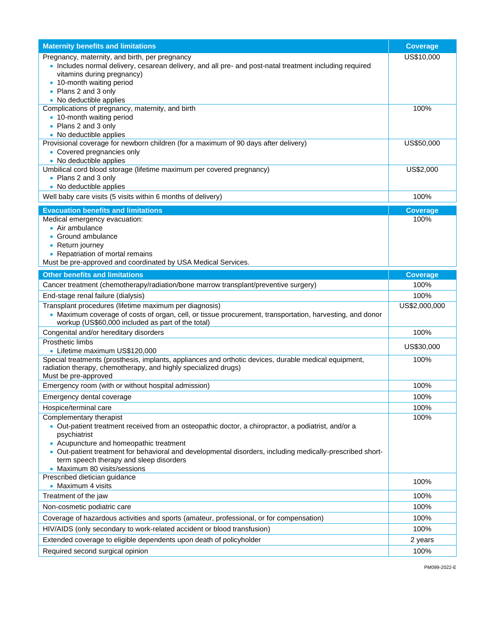| <b>Maternity benefits and limitations</b>                                                                                                                                                                                                                                                                                                                                         | <b>Coverage</b>       |
|-----------------------------------------------------------------------------------------------------------------------------------------------------------------------------------------------------------------------------------------------------------------------------------------------------------------------------------------------------------------------------------|-----------------------|
| Pregnancy, maternity, and birth, per pregnancy<br>• Includes normal delivery, cesarean delivery, and all pre- and post-natal treatment including required<br>vitamins during pregnancy)<br>• 10-month waiting period<br>• Plans 2 and 3 only<br>• No deductible applies                                                                                                           | US\$10,000            |
| Complications of pregnancy, maternity, and birth<br>• 10-month waiting period<br>• Plans 2 and 3 only<br>• No deductible applies                                                                                                                                                                                                                                                  | 100%                  |
| Provisional coverage for newborn children (for a maximum of 90 days after delivery)<br>• Covered pregnancies only<br>• No deductible applies                                                                                                                                                                                                                                      | US\$50,000            |
| Umbilical cord blood storage (lifetime maximum per covered pregnancy)<br>• Plans 2 and 3 only<br>• No deductible applies                                                                                                                                                                                                                                                          | US\$2,000             |
| Well baby care visits (5 visits within 6 months of delivery)                                                                                                                                                                                                                                                                                                                      | 100%                  |
| <b>Evacuation benefits and limitations</b>                                                                                                                                                                                                                                                                                                                                        | <b>Coverage</b>       |
| Medical emergency evacuation:<br>• Air ambulance<br>• Ground ambulance<br>• Return journey<br>• Repatriation of mortal remains<br>Must be pre-approved and coordinated by USA Medical Services.                                                                                                                                                                                   | 100%                  |
| <b>Other benefits and limitations</b>                                                                                                                                                                                                                                                                                                                                             | <b>Coverage</b>       |
| Cancer treatment (chemotherapy/radiation/bone marrow transplant/preventive surgery)                                                                                                                                                                                                                                                                                               | 100%                  |
| End-stage renal failure (dialysis)<br>Transplant procedures (lifetime maximum per diagnosis)<br>• Maximum coverage of costs of organ, cell, or tissue procurement, transportation, harvesting, and donor<br>workup (US\$60,000 included as part of the total)                                                                                                                     | 100%<br>US\$2,000,000 |
| Congenital and/or hereditary disorders                                                                                                                                                                                                                                                                                                                                            | 100%                  |
| Prosthetic limbs<br>• Lifetime maximum US\$120,000                                                                                                                                                                                                                                                                                                                                | US\$30,000            |
| Special treatments (prosthesis, implants, appliances and orthotic devices, durable medical equipment,<br>radiation therapy, chemotherapy, and highly specialized drugs)<br>Must be pre-approved                                                                                                                                                                                   | 100%                  |
| Emergency room (with or without hospital admission)                                                                                                                                                                                                                                                                                                                               | 100%                  |
| Emergency dental coverage                                                                                                                                                                                                                                                                                                                                                         | 100%                  |
| Hospice/terminal care                                                                                                                                                                                                                                                                                                                                                             | 100%                  |
| Complementary therapist<br>· Out-patient treatment received from an osteopathic doctor, a chiropractor, a podiatrist, and/or a<br>psychiatrist<br>• Acupuncture and homeopathic treatment<br>• Out-patient treatment for behavioral and developmental disorders, including medically-prescribed short-<br>term speech therapy and sleep disorders<br>• Maximum 80 visits/sessions | 100%                  |
| Prescribed dietician guidance<br>• Maximum 4 visits                                                                                                                                                                                                                                                                                                                               | 100%                  |
| Treatment of the jaw                                                                                                                                                                                                                                                                                                                                                              | 100%                  |
| Non-cosmetic podiatric care                                                                                                                                                                                                                                                                                                                                                       | 100%                  |
| Coverage of hazardous activities and sports (amateur, professional, or for compensation)                                                                                                                                                                                                                                                                                          | 100%                  |
| HIV/AIDS (only secondary to work-related accident or blood transfusion)                                                                                                                                                                                                                                                                                                           | 100%                  |
| Extended coverage to eligible dependents upon death of policyholder                                                                                                                                                                                                                                                                                                               | 2 years               |
| Required second surgical opinion                                                                                                                                                                                                                                                                                                                                                  | 100%                  |